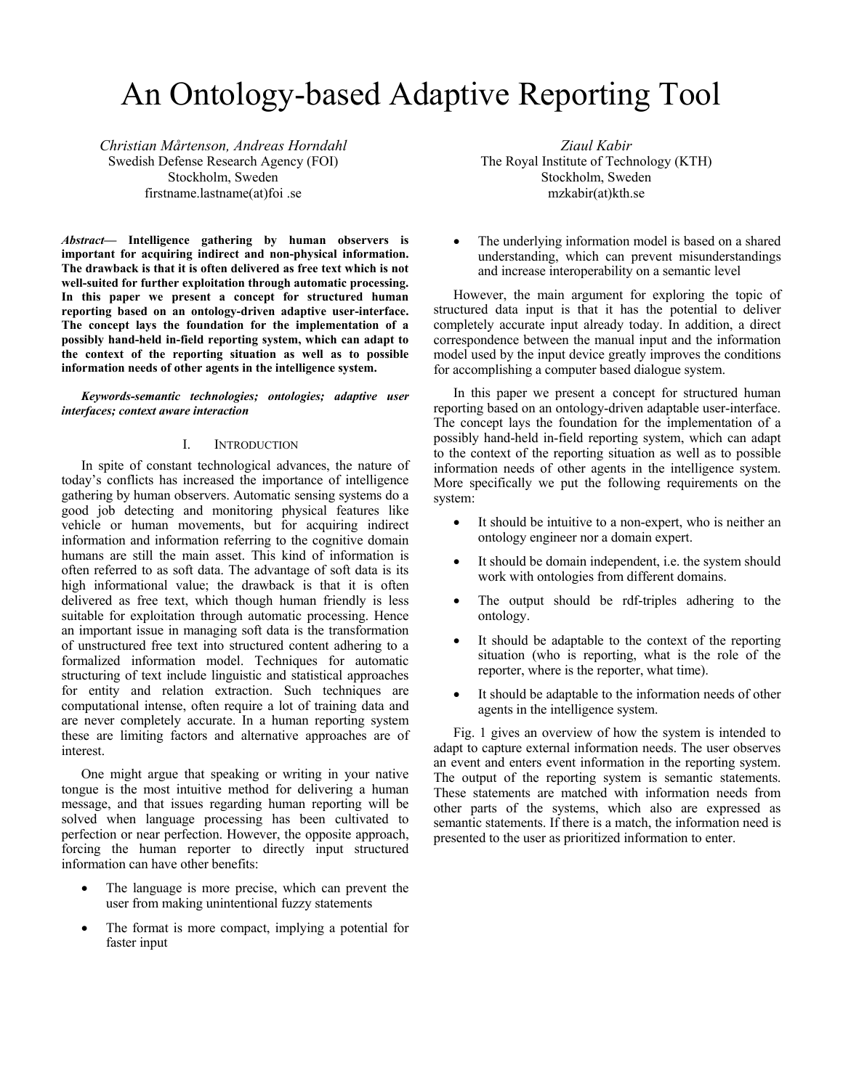# An Ontology-based Adaptive Reporting Tool

*Christian Mårtenson, Andreas Horndahl* Swedish Defense Research Agency (FOI) Stockholm, Sweden firstname.lastname(at)foi .se

*Abstract***— Intelligence gathering by human observers is important for acquiring indirect and non-physical information. The drawback is that it is often delivered as free text which is not well-suited for further exploitation through automatic processing. In this paper we present a concept for structured human reporting based on an ontology-driven adaptive user-interface. The concept lays the foundation for the implementation of a possibly hand-held in-field reporting system, which can adapt to the context of the reporting situation as well as to possible information needs of other agents in the intelligence system.** 

*Keywords-semantic technologies; ontologies; adaptive user interfaces; context aware interaction* 

# I. INTRODUCTION

In spite of constant technological advances, the nature of today's conflicts has increased the importance of intelligence gathering by human observers. Automatic sensing systems do a good job detecting and monitoring physical features like vehicle or human movements, but for acquiring indirect information and information referring to the cognitive domain humans are still the main asset. This kind of information is often referred to as soft data. The advantage of soft data is its high informational value; the drawback is that it is often delivered as free text, which though human friendly is less suitable for exploitation through automatic processing. Hence an important issue in managing soft data is the transformation of unstructured free text into structured content adhering to a formalized information model. Techniques for automatic structuring of text include linguistic and statistical approaches for entity and relation extraction. Such techniques are computational intense, often require a lot of training data and are never completely accurate. In a human reporting system these are limiting factors and alternative approaches are of interest.

One might argue that speaking or writing in your native tongue is the most intuitive method for delivering a human message, and that issues regarding human reporting will be solved when language processing has been cultivated to perfection or near perfection. However, the opposite approach, forcing the human reporter to directly input structured information can have other benefits:

- The language is more precise, which can prevent the user from making unintentional fuzzy statements
- The format is more compact, implying a potential for faster input

*Ziaul Kabir*  The Royal Institute of Technology (KTH) Stockholm, Sweden mzkabir(at)kth.se

• The underlying information model is based on a shared understanding, which can prevent misunderstandings and increase interoperability on a semantic level

However, the main argument for exploring the topic of structured data input is that it has the potential to deliver completely accurate input already today. In addition, a direct correspondence between the manual input and the information model used by the input device greatly improves the conditions for accomplishing a computer based dialogue system.

In this paper we present a concept for structured human reporting based on an ontology-driven adaptable user-interface. The concept lays the foundation for the implementation of a possibly hand-held in-field reporting system, which can adapt to the context of the reporting situation as well as to possible information needs of other agents in the intelligence system. More specifically we put the following requirements on the system:

- It should be intuitive to a non-expert, who is neither an ontology engineer nor a domain expert.
- It should be domain independent, i.e. the system should work with ontologies from different domains.
- The output should be rdf-triples adhering to the ontology.
- It should be adaptable to the context of the reporting situation (who is reporting, what is the role of the reporter, where is the reporter, what time).
- It should be adaptable to the information needs of other agents in the intelligence system.

Fig. 1 gives an overview of how the system is intended to adapt to capture external information needs. The user observes an event and enters event information in the reporting system. The output of the reporting system is semantic statements. These statements are matched with information needs from other parts of the systems, which also are expressed as semantic statements. If there is a match, the information need is presented to the user as prioritized information to enter.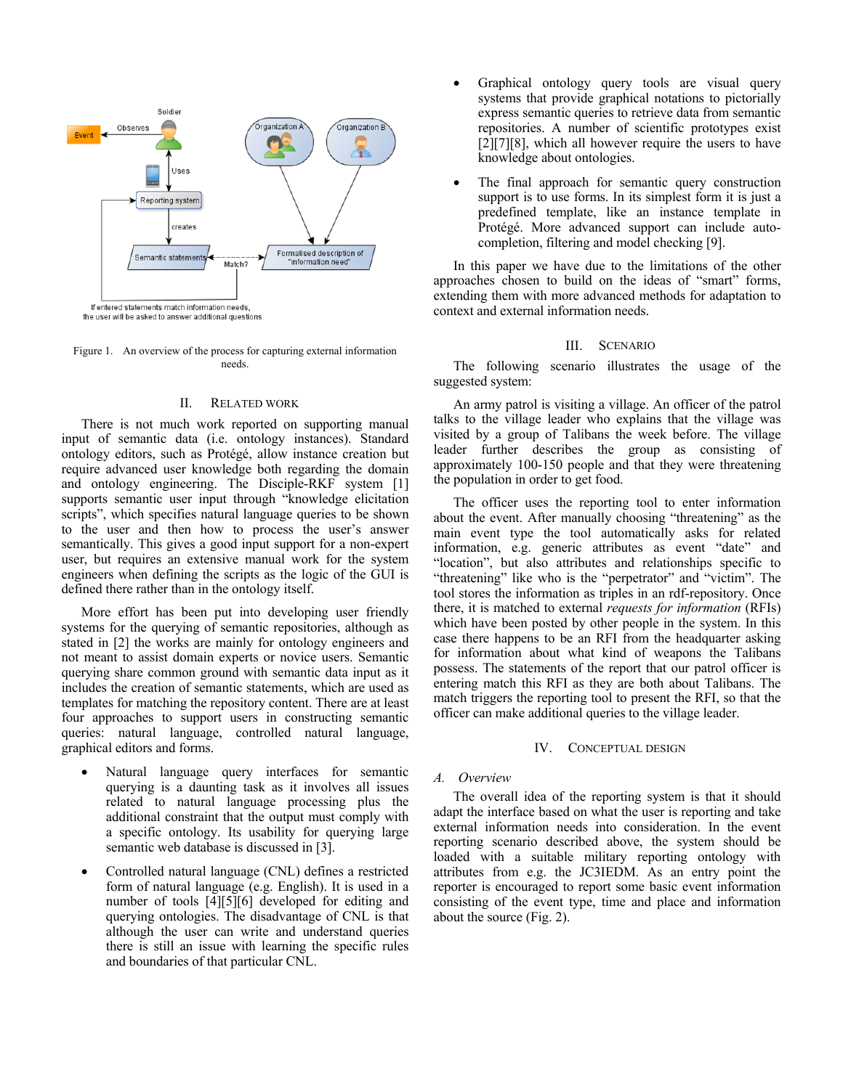

Figure 1. An overview of the process for capturing external information needs.

## II. RELATED WORK

There is not much work reported on supporting manual input of semantic data (i.e. ontology instances). Standard ontology editors, such as Protégé, allow instance creation but require advanced user knowledge both regarding the domain and ontology engineering. The Disciple-RKF system [1] supports semantic user input through "knowledge elicitation scripts", which specifies natural language queries to be shown to the user and then how to process the user's answer semantically. This gives a good input support for a non-expert user, but requires an extensive manual work for the system engineers when defining the scripts as the logic of the GUI is defined there rather than in the ontology itself.

More effort has been put into developing user friendly systems for the querying of semantic repositories, although as stated in [2] the works are mainly for ontology engineers and not meant to assist domain experts or novice users. Semantic querying share common ground with semantic data input as it includes the creation of semantic statements, which are used as templates for matching the repository content. There are at least four approaches to support users in constructing semantic queries: natural language, controlled natural language, graphical editors and forms.

- Natural language query interfaces for semantic querying is a daunting task as it involves all issues related to natural language processing plus the additional constraint that the output must comply with a specific ontology. Its usability for querying large semantic web database is discussed in [3].
- Controlled natural language (CNL) defines a restricted form of natural language (e.g. English). It is used in a number of tools [4][5][6] developed for editing and querying ontologies. The disadvantage of CNL is that although the user can write and understand queries there is still an issue with learning the specific rules and boundaries of that particular CNL.
- Graphical ontology query tools are visual query systems that provide graphical notations to pictorially express semantic queries to retrieve data from semantic repositories. A number of scientific prototypes exist [2][7][8], which all however require the users to have knowledge about ontologies.
- The final approach for semantic query construction support is to use forms. In its simplest form it is just a predefined template, like an instance template in Protégé. More advanced support can include autocompletion, filtering and model checking [9].

In this paper we have due to the limitations of the other approaches chosen to build on the ideas of "smart" forms, extending them with more advanced methods for adaptation to context and external information needs.

#### III. SCENARIO

The following scenario illustrates the usage of the suggested system:

An army patrol is visiting a village. An officer of the patrol talks to the village leader who explains that the village was visited by a group of Talibans the week before. The village leader further describes the group as consisting of approximately 100-150 people and that they were threatening the population in order to get food.

The officer uses the reporting tool to enter information about the event. After manually choosing "threatening" as the main event type the tool automatically asks for related information, e.g. generic attributes as event "date" and "location", but also attributes and relationships specific to "threatening" like who is the "perpetrator" and "victim". The tool stores the information as triples in an rdf-repository. Once there, it is matched to external *requests for information* (RFIs) which have been posted by other people in the system. In this case there happens to be an RFI from the headquarter asking for information about what kind of weapons the Talibans possess. The statements of the report that our patrol officer is entering match this RFI as they are both about Talibans. The match triggers the reporting tool to present the RFI, so that the officer can make additional queries to the village leader.

## IV. CONCEPTUAL DESIGN

# *A. Overview*

The overall idea of the reporting system is that it should adapt the interface based on what the user is reporting and take external information needs into consideration. In the event reporting scenario described above, the system should be loaded with a suitable military reporting ontology with attributes from e.g. the JC3IEDM. As an entry point the reporter is encouraged to report some basic event information consisting of the event type, time and place and information about the source (Fig. 2).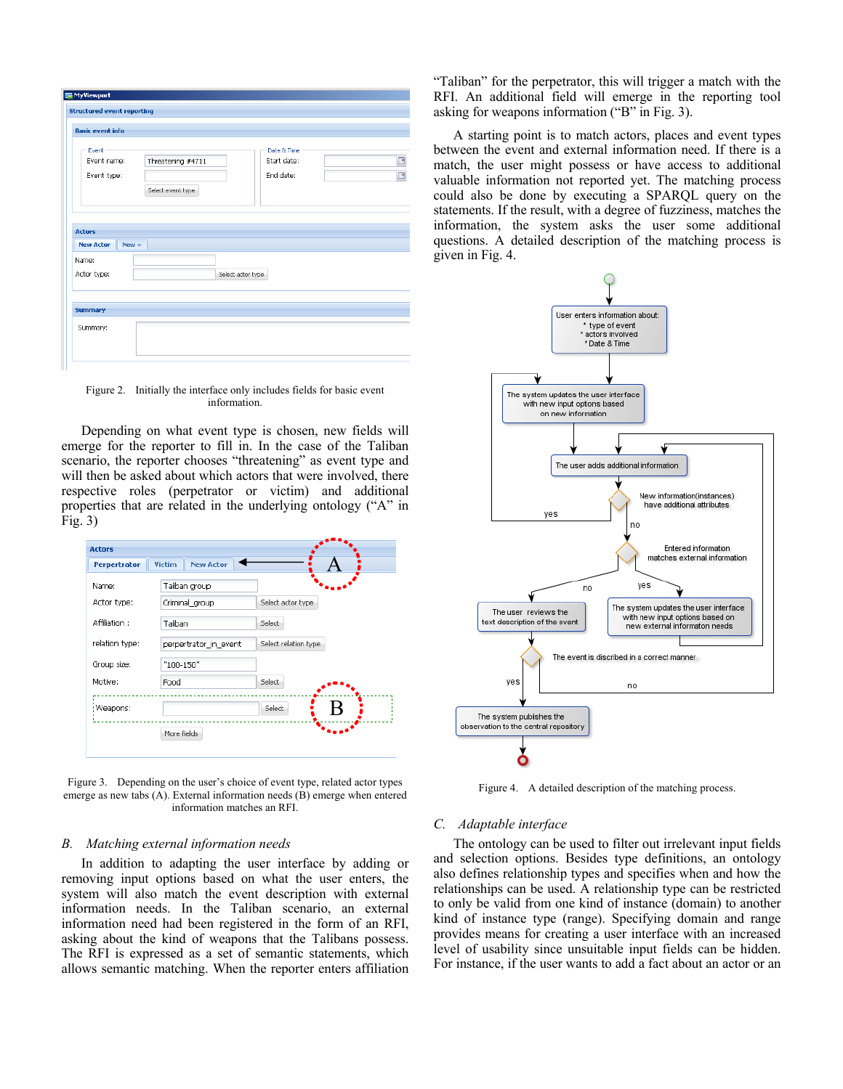| <b>Basic event info</b>     |                   |                   |             |  |
|-----------------------------|-------------------|-------------------|-------------|--|
| Event                       |                   |                   | Date & Time |  |
| Event name:                 | Threatening #4711 |                   | Start date: |  |
| Event type:                 |                   |                   | End date:   |  |
|                             | Select event type |                   |             |  |
|                             |                   |                   |             |  |
|                             |                   |                   |             |  |
|                             |                   |                   |             |  |
|                             |                   |                   |             |  |
| <b>Actors</b>               |                   |                   |             |  |
| $New +$<br><b>New Actor</b> |                   |                   |             |  |
| Name:                       |                   |                   |             |  |
| Actor type:                 |                   | Select actor type |             |  |
|                             |                   |                   |             |  |
|                             |                   |                   |             |  |
| <b>Summary</b>              |                   |                   |             |  |

Figure 2. Initially the interface only includes fields for basic event information.

Depending on what event type is chosen, new fields will emerge for the reporter to fill in. In the case of the Taliban scenario, the reporter chooses "threatening" as event type and will then be asked about which actors that were involved, there respective roles (perpetrator or victim) and additional properties that are related in the underlying ontology ("A" in Fig. 3)



Figure 3. Depending on the user's choice of event type, related actor types emerge as new tabs (A). External information needs (B) emerge when entered information matches an RFI.

#### *B. Matching external information needs*

In addition to adapting the user interface by adding or removing input options based on what the user enters, the system will also match the event description with external information needs. In the Taliban scenario, an external information need had been registered in the form of an RFI, asking about the kind of weapons that the Talibans possess. The RFI is expressed as a set of semantic statements, which allows semantic matching. When the reporter enters affiliation "Taliban" for the perpetrator, this will trigger a match with the RFI. An additional field will emerge in the reporting tool asking for weapons information ("B" in Fig. 3).

A starting point is to match actors, places and event types between the event and external information need. If there is a match, the user might possess or have access to additional valuable information not reported yet. The matching process could also be done by executing a SPARQL query on the statements. If the result, with a degree of fuzziness, matches the information, the system asks the user some additional questions. A detailed description of the matching process is given in Fig. 4.



Figure 4. A detailed description of the matching process.

# *C. Adaptable interface*

The ontology can be used to filter out irrelevant input fields and selection options. Besides type definitions, an ontology also defines relationship types and specifies when and how the relationships can be used. A relationship type can be restricted to only be valid from one kind of instance (domain) to another kind of instance type (range). Specifying domain and range provides means for creating a user interface with an increased level of usability since unsuitable input fields can be hidden. For instance, if the user wants to add a fact about an actor or an